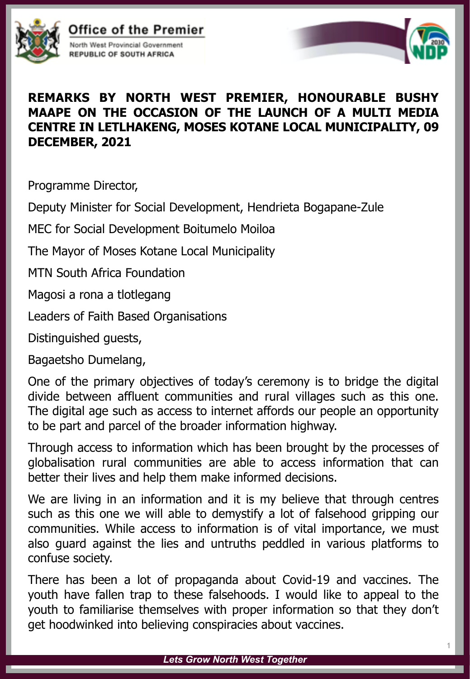

Office of the Premier North West Provincial Government

**REPUBLIC OF SOUTH AFRICA** 



## **REMARKS BY NORTH WEST PREMIER, HONOURABLE BUSHY MAAPE ON THE OCCASION OF THE LAUNCH OF A MULTI MEDIA CENTRE IN LETLHAKENG, MOSES KOTANE LOCAL MUNICIPALITY, 09 DECEMBER, 2021**

Programme Director,

Deputy Minister for Social Development, Hendrieta Bogapane-Zule

MEC for Social Development Boitumelo Moiloa

The Mayor of Moses Kotane Local Municipality

MTN South Africa Foundation

Magosi a rona a tlotlegang

Leaders of Faith Based Organisations

Distinguished guests,

Bagaetsho Dumelang,

One of the primary objectives of today's ceremony is to bridge the digital divide between affluent communities and rural villages such as this one. The digital age such as access to internet affords our people an opportunity to be part and parcel of the broader information highway.

Through access to information which has been brought by the processes of globalisation rural communities are able to access information that can better their lives and help them make informed decisions.

We are living in an information and it is my believe that through centres such as this one we will able to demystify a lot of falsehood gripping our communities. While access to information is of vital importance, we must also guard against the lies and untruths peddled in various platforms to confuse society.

There has been a lot of propaganda about Covid-19 and vaccines. The youth have fallen trap to these falsehoods. I would like to appeal to the youth to familiarise themselves with proper information so that they don't get hoodwinked into believing conspiracies about vaccines.